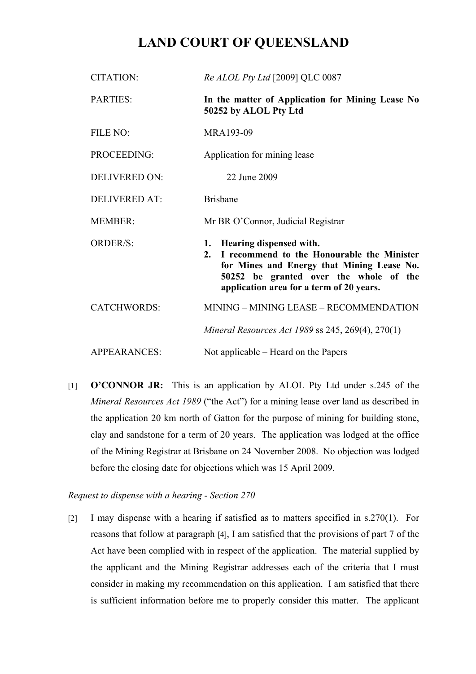# **LAND COURT OF QUEENSLAND**

| <b>CITATION:</b>     | Re ALOL Pty Ltd [2009] QLC 0087                                                                                                                                                                                 |
|----------------------|-----------------------------------------------------------------------------------------------------------------------------------------------------------------------------------------------------------------|
| PARTIES:             | In the matter of Application for Mining Lease No<br>50252 by ALOL Pty Ltd                                                                                                                                       |
| FILE NO:             | MRA193-09                                                                                                                                                                                                       |
| PROCEEDING:          | Application for mining lease                                                                                                                                                                                    |
| <b>DELIVERED ON:</b> | 22 June 2009                                                                                                                                                                                                    |
| <b>DELIVERED AT:</b> | <b>Brisbane</b>                                                                                                                                                                                                 |
| <b>MEMBER:</b>       | Mr BR O'Connor, Judicial Registrar                                                                                                                                                                              |
| <b>ORDER/S:</b>      | 1. Hearing dispensed with.<br>2. I recommend to the Honourable the Minister<br>for Mines and Energy that Mining Lease No.<br>50252 be granted over the whole of the<br>application area for a term of 20 years. |
| <b>CATCHWORDS:</b>   | MINING - MINING LEASE - RECOMMENDATION                                                                                                                                                                          |
|                      | <i>Mineral Resources Act 1989 ss 245, 269(4), 270(1)</i>                                                                                                                                                        |
| <b>APPEARANCES:</b>  | Not applicable – Heard on the Papers                                                                                                                                                                            |

[1] **O'CONNOR JR:** This is an application by ALOL Pty Ltd under s.245 of the *Mineral Resources Act 1989* ("the Act") for a mining lease over land as described in the application 20 km north of Gatton for the purpose of mining for building stone, clay and sandstone for a term of 20 years. The application was lodged at the office of the Mining Registrar at Brisbane on 24 November 2008. No objection was lodged before the closing date for objections which was 15 April 2009.

*Request to dispense with a hearing - Section 270*

[2] I may dispense with a hearing if satisfied as to matters specified in s.270(1). For reasons that follow at paragraph [4], I am satisfied that the provisions of part 7 of the Act have been complied with in respect of the application. The material supplied by the applicant and the Mining Registrar addresses each of the criteria that I must consider in making my recommendation on this application. I am satisfied that there is sufficient information before me to properly consider this matter. The applicant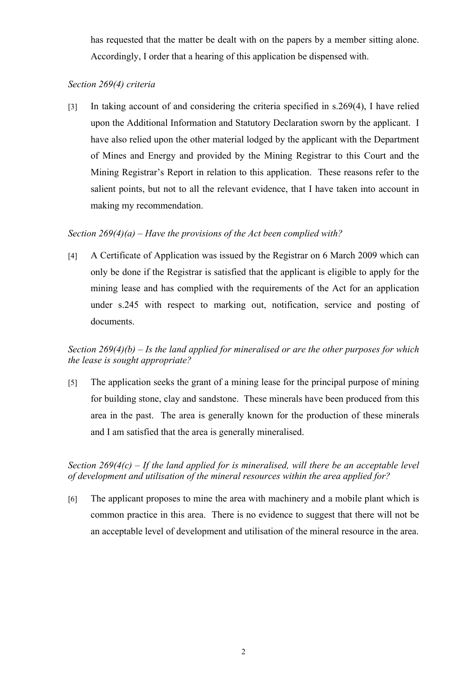has requested that the matter be dealt with on the papers by a member sitting alone. Accordingly, I order that a hearing of this application be dispensed with.

## *Section 269(4) criteria*

[3] In taking account of and considering the criteria specified in s.269(4), I have relied upon the Additional Information and Statutory Declaration sworn by the applicant. I have also relied upon the other material lodged by the applicant with the Department of Mines and Energy and provided by the Mining Registrar to this Court and the Mining Registrar's Report in relation to this application. These reasons refer to the salient points, but not to all the relevant evidence, that I have taken into account in making my recommendation.

# *Section 269(4)(a) – Have the provisions of the Act been complied with?*

[4] A Certificate of Application was issued by the Registrar on 6 March 2009 which can only be done if the Registrar is satisfied that the applicant is eligible to apply for the mining lease and has complied with the requirements of the Act for an application under s.245 with respect to marking out, notification, service and posting of documents.

# *Section 269(4)(b) – Is the land applied for mineralised or are the other purposes for which the lease is sought appropriate?*

[5] The application seeks the grant of a mining lease for the principal purpose of mining for building stone, clay and sandstone. These minerals have been produced from this area in the past. The area is generally known for the production of these minerals and I am satisfied that the area is generally mineralised.

*Section 269(4(c) – If the land applied for is mineralised, will there be an acceptable level of development and utilisation of the mineral resources within the area applied for?*

[6] The applicant proposes to mine the area with machinery and a mobile plant which is common practice in this area. There is no evidence to suggest that there will not be an acceptable level of development and utilisation of the mineral resource in the area.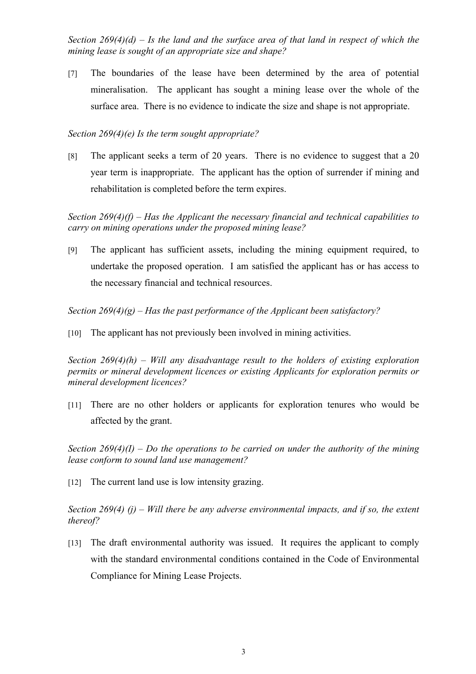*Section 269(4)(d) – Is the land and the surface area of that land in respect of which the mining lease is sought of an appropriate size and shape?* 

[7] The boundaries of the lease have been determined by the area of potential mineralisation. The applicant has sought a mining lease over the whole of the surface area. There is no evidence to indicate the size and shape is not appropriate.

## *Section 269(4)(e) Is the term sought appropriate?*

[8] The applicant seeks a term of 20 years. There is no evidence to suggest that a 20 year term is inappropriate. The applicant has the option of surrender if mining and rehabilitation is completed before the term expires.

*Section 269(4)(f) – Has the Applicant the necessary financial and technical capabilities to carry on mining operations under the proposed mining lease?* 

[9] The applicant has sufficient assets, including the mining equipment required, to undertake the proposed operation. I am satisfied the applicant has or has access to the necessary financial and technical resources.

*Section 269(4)(g) – Has the past performance of the Applicant been satisfactory?*

[10] The applicant has not previously been involved in mining activities.

*Section 269(4)(h) – Will any disadvantage result to the holders of existing exploration permits or mineral development licences or existing Applicants for exploration permits or mineral development licences?*

[11] There are no other holders or applicants for exploration tenures who would be affected by the grant.

*Section 269(4)(I) – Do the operations to be carried on under the authority of the mining lease conform to sound land use management?* 

[12] The current land use is low intensity grazing.

*Section 269(4) (j) – Will there be any adverse environmental impacts, and if so, the extent thereof?*

[13] The draft environmental authority was issued. It requires the applicant to comply with the standard environmental conditions contained in the Code of Environmental Compliance for Mining Lease Projects.